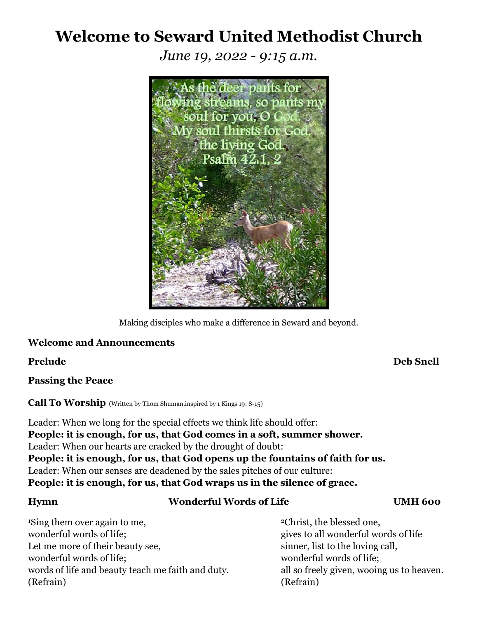# **Welcome to Seward United Methodist Church**

*June 19, 2022 - 9:15 a.m.*



Making disciples who make a difference in Seward and beyond.

### **Welcome and Announcements**

**Passing the Peace**

**Call To Worship** (Written by Thom Shuman, inspired by 1 Kings 19: 8-15)

Leader: When we long for the special effects we think life should offer: **People: it is enough, for us, that God comes in a soft, summer shower.** Leader: When our hearts are cracked by the drought of doubt: **People: it is enough, for us, that God opens up the fountains of faith for us.** Leader: When our senses are deadened by the sales pitches of our culture: **People: it is enough, for us, that God wraps us in the silence of grace.**

**Hymn Wonderful Words of Life UMH 600**

<sup>1</sup>Sing them over again to me, <sup>2</sup>Christ, the blessed one, wonderful words of life; gives to all wonderful words of life Let me more of their beauty see, sinner, list to the loving call, wonderful words of life; wonderful words of life; words of life and beauty teach me faith and duty. all so freely given, wooing us to heaven. (Refrain) (Refrain)

#### **Prelude Deb Snell**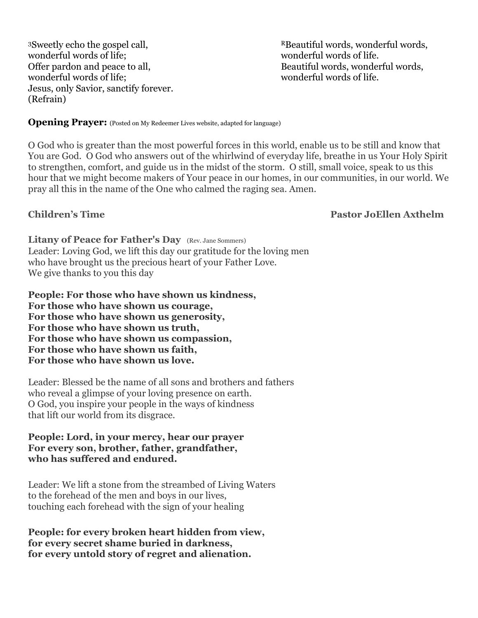wonderful words of life; wonderful words of life. wonderful words of life; wonderful words of life. Jesus, only Savior, sanctify forever. (Refrain)

<sup>3</sup>Sweetly echo the gospel call,  $\qquad \qquad$  RBeautiful words, wonderful words, Offer pardon and peace to all, Beautiful words, wonderful words,

#### **Opening Prayer:** (Posted on My Redeemer Lives website, adapted for language)

O God who is greater than the most powerful forces in this world, enable us to be still and know that You are God. O God who answers out of the whirlwind of everyday life, breathe in us Your Holy Spirit to strengthen, comfort, and guide us in the midst of the storm. O still, small voice, speak to us this hour that we might become makers of Your peace in our homes, in our communities, in our world. We pray all this in the name of the One who calmed the raging sea. Amen.

#### **Children's Time Pastor JoEllen Axthelm**

**Litany of Peace for Father's Day** (Rev. Jane Sommers) Leader: Loving God, we lift this day our gratitude for the loving men who have brought us the precious heart of your Father Love. We give thanks to you this day

**People: For those who have shown us kindness, For those who have shown us courage, For those who have shown us generosity, For those who have shown us truth, For those who have shown us compassion, For those who have shown us faith, For those who have shown us love.**

Leader: Blessed be the name of all sons and brothers and fathers who reveal a glimpse of your loving presence on earth. O God, you inspire your people in the ways of kindness that lift our world from its disgrace.

#### **People: Lord, in your mercy, hear our prayer For every son, brother, father, grandfather, who has suffered and endured.**

Leader: We lift a stone from the streambed of Living Waters to the forehead of the men and boys in our lives, touching each forehead with the sign of your healing

**People: for every broken heart hidden from view, for every secret shame buried in darkness, for every untold story of regret and alienation.**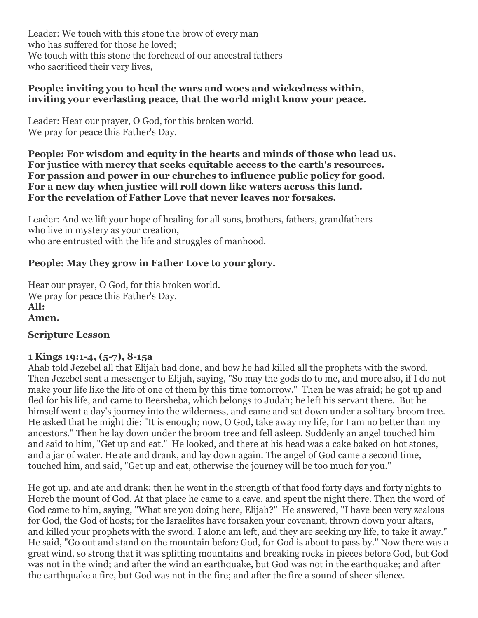Leader: We touch with this stone the brow of every man who has suffered for those he loved; We touch with this stone the forehead of our ancestral fathers who sacrificed their very lives,

### **People: inviting you to heal the wars and woes and wickedness within, inviting your everlasting peace, that the world might know your peace.**

Leader: Hear our prayer, O God, for this broken world. We pray for peace this Father's Day.

**People: For wisdom and equity in the hearts and minds of those who lead us. For justice with mercy that seeks equitable access to the earth's resources. For passion and power in our churches to influence public policy for good. For a new day when justice will roll down like waters across this land. For the revelation of Father Love that never leaves nor forsakes.**

Leader: And we lift your hope of healing for all sons, brothers, fathers, grandfathers who live in mystery as your creation, who are entrusted with the life and struggles of manhood.

# **People: May they grow in Father Love to your glory.**

Hear our prayer, O God, for this broken world. We pray for peace this Father's Day. **All: Amen.**

#### **Scripture Lesson**

### **1 Kings 19:1-4, (5-7), 8-15a**

Ahab told Jezebel all that Elijah had done, and how he had killed all the prophets with the sword. Then Jezebel sent a messenger to Elijah, saying, "So may the gods do to me, and more also, if I do not make your life like the life of one of them by this time tomorrow." Then he was afraid; he got up and fled for his life, and came to Beersheba, which belongs to Judah; he left his servant there. But he himself went a day's journey into the wilderness, and came and sat down under a solitary broom tree. He asked that he might die: "It is enough; now, O God, take away my life, for I am no better than my ancestors." Then he lay down under the broom tree and fell asleep. Suddenly an angel touched him and said to him, "Get up and eat." He looked, and there at his head was a cake baked on hot stones, and a jar of water. He ate and drank, and lay down again. The angel of God came a second time, touched him, and said, "Get up and eat, otherwise the journey will be too much for you."

He got up, and ate and drank; then he went in the strength of that food forty days and forty nights to Horeb the mount of God. At that place he came to a cave, and spent the night there. Then the word of God came to him, saying, "What are you doing here, Elijah?" He answered, "I have been very zealous for God, the God of hosts; for the Israelites have forsaken your covenant, thrown down your altars, and killed your prophets with the sword. I alone am left, and they are seeking my life, to take it away." He said, "Go out and stand on the mountain before God, for God is about to pass by." Now there was a great wind, so strong that it was splitting mountains and breaking rocks in pieces before God, but God was not in the wind; and after the wind an earthquake, but God was not in the earthquake; and after the earthquake a fire, but God was not in the fire; and after the fire a sound of sheer silence.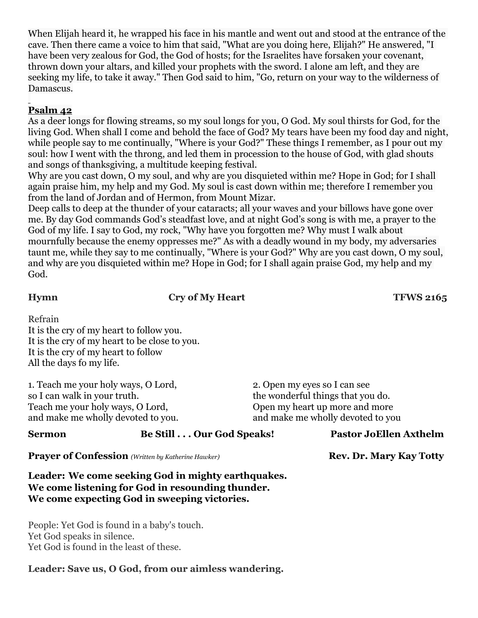When Elijah heard it, he wrapped his face in his mantle and went out and stood at the entrance of the cave. Then there came a voice to him that said, "What are you doing here, Elijah?" He answered, "I have been very zealous for God, the God of hosts; for the Israelites have forsaken your covenant, thrown down your altars, and killed your prophets with the sword. I alone am left, and they are seeking my life, to take it away." Then God said to him, "Go, return on your way to the wilderness of Damascus.

### **Psalm 42**

As a deer longs for flowing streams, so my soul longs for you, O God. My soul thirsts for God, for the living God. When shall I come and behold the face of God? My tears have been my food day and night, while people say to me continually, "Where is your God?" These things I remember, as I pour out my soul: how I went with the throng, and led them in procession to the house of God, with glad shouts and songs of thanksgiving, a multitude keeping festival.

Why are you cast down, O my soul, and why are you disquieted within me? Hope in God; for I shall again praise him, my help and my God. My soul is cast down within me; therefore I remember you from the land of Jordan and of Hermon, from Mount Mizar.

Deep calls to deep at the thunder of your cataracts; all your waves and your billows have gone over me. By day God commands God's steadfast love, and at night God's song is with me, a prayer to the God of my life. I say to God, my rock, "Why have you forgotten me? Why must I walk about mournfully because the enemy oppresses me?" As with a deadly wound in my body, my adversaries taunt me, while they say to me continually, "Where is your God?" Why are you cast down, O my soul, and why are you disquieted within me? Hope in God; for I shall again praise God, my help and my God.

Refrain

It is the cry of my heart to follow you. It is the cry of my heart to be close to you. It is the cry of my heart to follow All the days fo my life.

1. Teach me your holy ways, O Lord, 2. Open my eyes so I can see so I can walk in your truth. the wonderful things that you do. Teach me your holy ways, O Lord, Open my heart up more and more and make me wholly devoted to you.  $\qquad \qquad$  and make me wholly devoted to you

**Prayer of Confession** *(Written by Katherine Hawker)* **Rev. Dr. Mary Kay Totty** 

**Leader: We come seeking God in mighty earthquakes. We come listening for God in resounding thunder. We come expecting God in sweeping victories.**

People: Yet God is found in a baby's touch. Yet God speaks in silence. Yet God is found in the least of these.

**Leader: Save us, O God, from our aimless wandering.**

# **Sermon Be Still . . . Our God Speaks! Pastor JoEllen Axthelm**

### **Hymn** Cry of My Heart **TFWS 2165**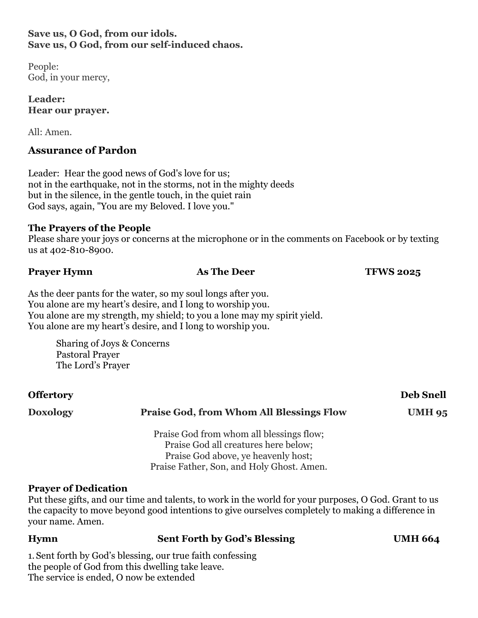### **Save us, O God, from our idols. Save us, O God, from our self-induced chaos.**

People: God, in your mercy,

**Leader: Hear our prayer.**

All: Amen.

# **Assurance of Pardon**

Leader: Hear the good news of God's love for us; not in the earthquake, not in the storms, not in the mighty deeds but in the silence, in the gentle touch, in the quiet rain God says, again, "You are my Beloved. I love you."

### **The Prayers of the People**

Please share your joys or concerns at the microphone or in the comments on Facebook or by texting us at 402-810-8900.

| <b>Prayer Hymn</b> | <b>As The Deer</b> | <b>TFWS 2025</b> |
|--------------------|--------------------|------------------|
|                    |                    |                  |

As the deer pants for the water, so my soul longs after you. You alone are my heart's desire, and I long to worship you. You alone are my strength, my shield; to you a lone may my spirit yield. You alone are my heart's desire, and I long to worship you.

Sharing of Joys & Concerns Pastoral Prayer The Lord's Prayer

# **Offertory Deb Snell Doxology Praise God, from Whom All Blessings Flow UMH 95** Praise God from whom all blessings flow; Praise God all creatures here below;

Praise God above, ye heavenly host; Praise Father, Son, and Holy Ghost. Amen.

# **Prayer of Dedication**

Put these gifts, and our time and talents, to work in the world for your purposes, O God. Grant to us the capacity to move beyond good intentions to give ourselves completely to making a difference in your name. Amen.

# **Hymn Sent Forth by God's Blessing UMH 664**

1. Sent forth by God's blessing, our true faith confessing the people of God from this dwelling take leave. The service is ended, O now be extended